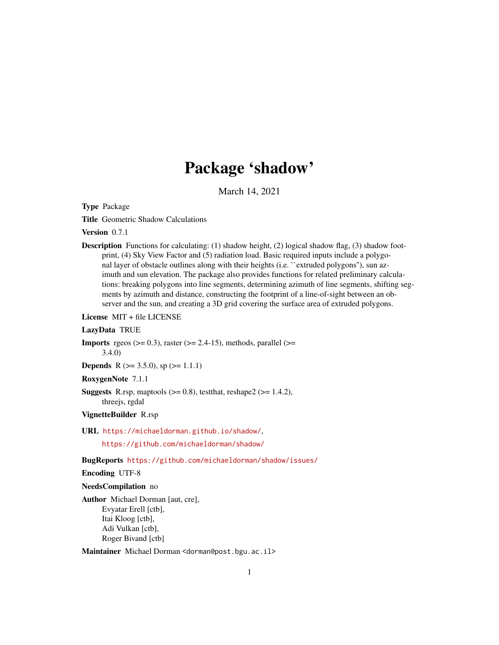# Package 'shadow'

March 14, 2021

Type Package

Title Geometric Shadow Calculations

Version 0.7.1

**Description** Functions for calculating: (1) shadow height, (2) logical shadow flag, (3) shadow footprint, (4) Sky View Factor and (5) radiation load. Basic required inputs include a polygonal layer of obstacle outlines along with their heights (i.e. "extruded polygons"), sun azimuth and sun elevation. The package also provides functions for related preliminary calculations: breaking polygons into line segments, determining azimuth of line segments, shifting segments by azimuth and distance, constructing the footprint of a line-of-sight between an observer and the sun, and creating a 3D grid covering the surface area of extruded polygons.

License MIT + file LICENSE

# LazyData TRUE

**Imports** rgeos ( $> = 0.3$ ), raster ( $> = 2.4-15$ ), methods, parallel ( $> =$ 3.4.0)

**Depends** R ( $>= 3.5.0$ ), sp ( $>= 1.1.1$ )

RoxygenNote 7.1.1

**Suggests** R.rsp, maptools  $(>= 0.8)$ , test that, reshape  $2 (= 1.4.2)$ , threejs, rgdal

VignetteBuilder R.rsp

URL <https://michaeldorman.github.io/shadow/>,

<https://github.com/michaeldorman/shadow/>

BugReports <https://github.com/michaeldorman/shadow/issues/>

Encoding UTF-8

#### NeedsCompilation no

Author Michael Dorman [aut, cre], Evyatar Erell [ctb], Itai Kloog [ctb], Adi Vulkan [ctb], Roger Bivand [ctb]

Maintainer Michael Dorman <dorman@post.bgu.ac.il>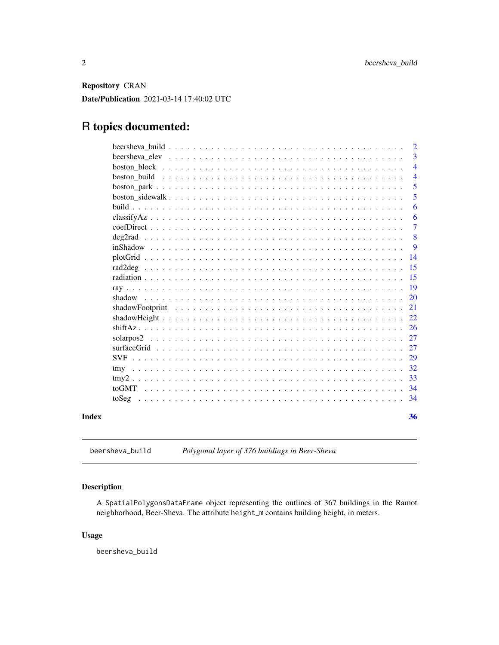<span id="page-1-0"></span>Repository CRAN

Date/Publication 2021-03-14 17:40:02 UTC

# R topics documented:

|  |  |  |  |  |  |  |  |  |  |  |  |  |  |  | 3                                                                                                            |
|--|--|--|--|--|--|--|--|--|--|--|--|--|--|--|--------------------------------------------------------------------------------------------------------------|
|  |  |  |  |  |  |  |  |  |  |  |  |  |  |  | $\overline{4}$                                                                                               |
|  |  |  |  |  |  |  |  |  |  |  |  |  |  |  | $\overline{4}$                                                                                               |
|  |  |  |  |  |  |  |  |  |  |  |  |  |  |  | 5                                                                                                            |
|  |  |  |  |  |  |  |  |  |  |  |  |  |  |  | 5                                                                                                            |
|  |  |  |  |  |  |  |  |  |  |  |  |  |  |  | 6                                                                                                            |
|  |  |  |  |  |  |  |  |  |  |  |  |  |  |  | 6                                                                                                            |
|  |  |  |  |  |  |  |  |  |  |  |  |  |  |  | $\overline{7}$                                                                                               |
|  |  |  |  |  |  |  |  |  |  |  |  |  |  |  | 8                                                                                                            |
|  |  |  |  |  |  |  |  |  |  |  |  |  |  |  | -9                                                                                                           |
|  |  |  |  |  |  |  |  |  |  |  |  |  |  |  | 14                                                                                                           |
|  |  |  |  |  |  |  |  |  |  |  |  |  |  |  | 15                                                                                                           |
|  |  |  |  |  |  |  |  |  |  |  |  |  |  |  | 15                                                                                                           |
|  |  |  |  |  |  |  |  |  |  |  |  |  |  |  | <b>19</b>                                                                                                    |
|  |  |  |  |  |  |  |  |  |  |  |  |  |  |  | 20                                                                                                           |
|  |  |  |  |  |  |  |  |  |  |  |  |  |  |  | 21                                                                                                           |
|  |  |  |  |  |  |  |  |  |  |  |  |  |  |  | 22                                                                                                           |
|  |  |  |  |  |  |  |  |  |  |  |  |  |  |  | <sup>26</sup>                                                                                                |
|  |  |  |  |  |  |  |  |  |  |  |  |  |  |  | 27                                                                                                           |
|  |  |  |  |  |  |  |  |  |  |  |  |  |  |  | 27                                                                                                           |
|  |  |  |  |  |  |  |  |  |  |  |  |  |  |  | 29                                                                                                           |
|  |  |  |  |  |  |  |  |  |  |  |  |  |  |  | 32                                                                                                           |
|  |  |  |  |  |  |  |  |  |  |  |  |  |  |  | 33                                                                                                           |
|  |  |  |  |  |  |  |  |  |  |  |  |  |  |  | -34                                                                                                          |
|  |  |  |  |  |  |  |  |  |  |  |  |  |  |  | -34                                                                                                          |
|  |  |  |  |  |  |  |  |  |  |  |  |  |  |  |                                                                                                              |
|  |  |  |  |  |  |  |  |  |  |  |  |  |  |  | 36                                                                                                           |
|  |  |  |  |  |  |  |  |  |  |  |  |  |  |  | shadowFootprint $\ldots \ldots \ldots \ldots \ldots \ldots \ldots \ldots \ldots \ldots \ldots \ldots \ldots$ |

beersheva\_build *Polygonal layer of 376 buildings in Beer-Sheva*

# Description

A SpatialPolygonsDataFrame object representing the outlines of 367 buildings in the Ramot neighborhood, Beer-Sheva. The attribute height\_m contains building height, in meters.

# Usage

beersheva\_build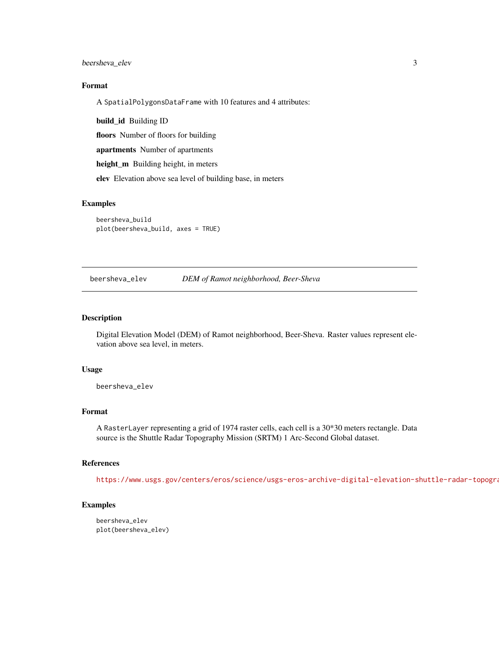<span id="page-2-0"></span>beersheva\_elev 3

# Format

A SpatialPolygonsDataFrame with 10 features and 4 attributes:

build\_id Building ID

floors Number of floors for building

apartments Number of apartments

height\_m Building height, in meters

elev Elevation above sea level of building base, in meters

#### Examples

beersheva\_build plot(beersheva\_build, axes = TRUE)

beersheva\_elev *DEM of Ramot neighborhood, Beer-Sheva*

# Description

Digital Elevation Model (DEM) of Ramot neighborhood, Beer-Sheva. Raster values represent elevation above sea level, in meters.

#### Usage

beersheva\_elev

# Format

A RasterLayer representing a grid of 1974 raster cells, each cell is a 30\*30 meters rectangle. Data source is the Shuttle Radar Topography Mission (SRTM) 1 Arc-Second Global dataset.

# References

https://www.usgs.gov/centers/eros/science/usgs-eros-archive-digital-elevation-shuttle-radar-topogra

#### Examples

beersheva\_elev plot(beersheva\_elev)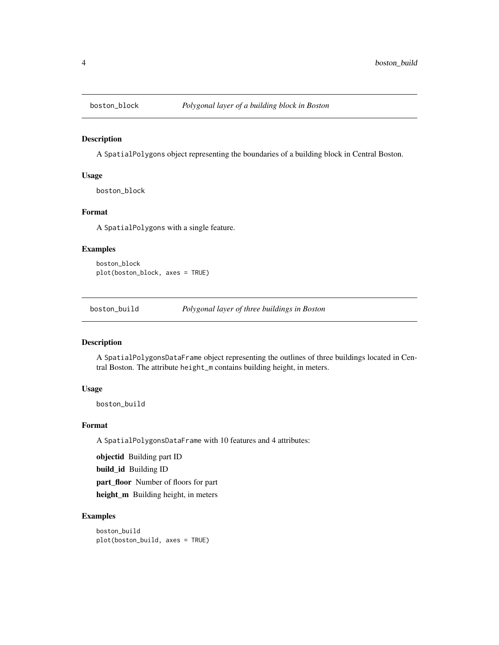<span id="page-3-0"></span>

A SpatialPolygons object representing the boundaries of a building block in Central Boston.

# Usage

boston\_block

# Format

A SpatialPolygons with a single feature.

#### Examples

boston\_block plot(boston\_block, axes = TRUE)

boston\_build *Polygonal layer of three buildings in Boston*

# Description

A SpatialPolygonsDataFrame object representing the outlines of three buildings located in Central Boston. The attribute height\_m contains building height, in meters.

#### Usage

boston\_build

# Format

A SpatialPolygonsDataFrame with 10 features and 4 attributes:

objectid Building part ID

build\_id Building ID

part\_floor Number of floors for part

height\_m Building height, in meters

# Examples

boston\_build plot(boston\_build, axes = TRUE)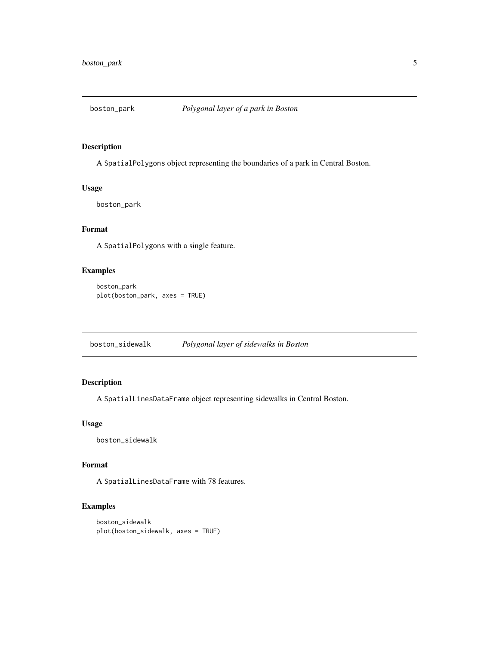<span id="page-4-0"></span>

A SpatialPolygons object representing the boundaries of a park in Central Boston.

# Usage

boston\_park

# Format

A SpatialPolygons with a single feature.

# Examples

boston\_park plot(boston\_park, axes = TRUE)

boston\_sidewalk *Polygonal layer of sidewalks in Boston*

# Description

A SpatialLinesDataFrame object representing sidewalks in Central Boston.

#### Usage

boston\_sidewalk

# Format

A SpatialLinesDataFrame with 78 features.

```
boston_sidewalk
plot(boston_sidewalk, axes = TRUE)
```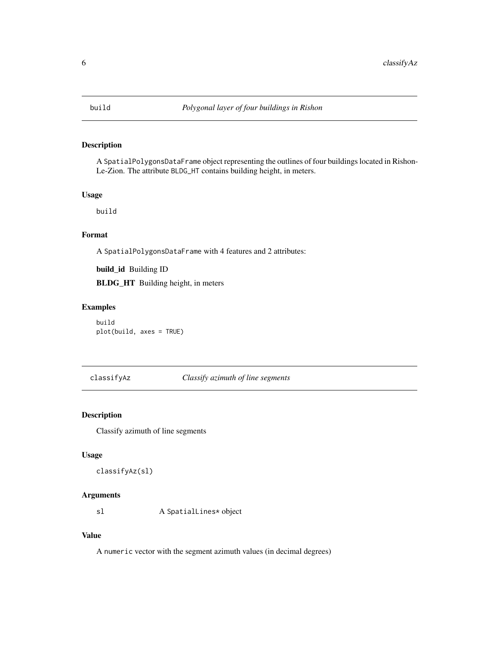<span id="page-5-0"></span>

A SpatialPolygonsDataFrame object representing the outlines of four buildings located in Rishon-Le-Zion. The attribute BLDG\_HT contains building height, in meters.

#### Usage

build

# Format

A SpatialPolygonsDataFrame with 4 features and 2 attributes:

build\_id Building ID

BLDG\_HT Building height, in meters

# Examples

build plot(build, axes = TRUE)

classifyAz *Classify azimuth of line segments*

# Description

Classify azimuth of line segments

# Usage

```
classifyAz(sl)
```
# Arguments

sl A SpatialLines\* object

#### Value

A numeric vector with the segment azimuth values (in decimal degrees)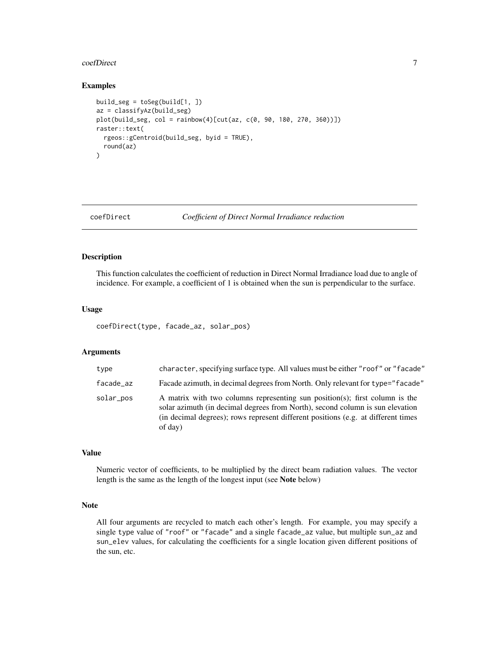#### <span id="page-6-0"></span>coefDirect 7

# Examples

```
build\_seg = toSeg(build[1, ])az = classifyAz(build_seg)
plot(build_seg, col = rainbow(4)[cut(az, c(0, 90, 180, 270, 360))])
raster::text(
  rgeos::gCentroid(build_seg, byid = TRUE),
  round(az)
)
```
<span id="page-6-1"></span>coefDirect *Coefficient of Direct Normal Irradiance reduction*

# Description

This function calculates the coefficient of reduction in Direct Normal Irradiance load due to angle of incidence. For example, a coefficient of 1 is obtained when the sun is perpendicular to the surface.

#### Usage

coefDirect(type, facade\_az, solar\_pos)

#### Arguments

| type      | character, specifying surface type. All values must be either "roof" or "facade"                                                                                                                                                                              |
|-----------|---------------------------------------------------------------------------------------------------------------------------------------------------------------------------------------------------------------------------------------------------------------|
| facade_az | Facade azimuth, in decimal degrees from North. Only relevant for type="facade"                                                                                                                                                                                |
| solar_pos | A matrix with two columns representing sun position(s); first column is the<br>solar azimuth (in decimal degrees from North), second column is sun elevation<br>(in decimal degrees); rows represent different positions (e.g. at different times)<br>of day) |

# Value

Numeric vector of coefficients, to be multiplied by the direct beam radiation values. The vector length is the same as the length of the longest input (see Note below)

# Note

All four arguments are recycled to match each other's length. For example, you may specify a single type value of "roof" or "facade" and a single facade\_az value, but multiple sun\_az and sun\_elev values, for calculating the coefficients for a single location given different positions of the sun, etc.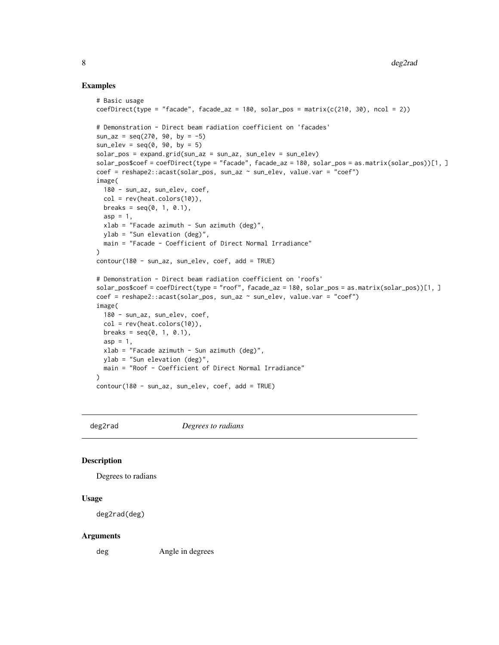#### Examples

```
# Basic usage
coeffDirect(type = "facade", facede_az = 180, solar_pos = matrix(c(210, 30), ncol = 2))# Demonstration - Direct beam radiation coefficient on 'facades'
sun_az = seq(270, 90, by = -5)sun\_elev = seq(0, 90, by = 5)solar_pos = expand.grid(sun_az = sun_az, sun_elev = sun_elev)
solar_pos$coef = coefDirect(type = "facade", facade_az = 180, solar_pos = as.matrix(solar_pos))[1, ]
coef = reshape2::acast(solar_pos, sun_az ~ sun_elev, value.var = "coef")
image(
  180 - sun_az, sun_elev, coef,
  col = rev(head.colors(10)),breaks = seq(0, 1, 0.1),
  asp = 1,
  xlab = "Facade azimuth - Sun azimuth (deg)",
  ylab = "Sun elevation (deg)",
 main = "Facade - Coefficient of Direct Normal Irradiance"
\lambdacontour(180 - sun_az, sun_elev, coef, add = TRUE)
# Demonstration - Direct beam radiation coefficient on 'roofs'
solar_pos$coef = coefDirect(type = "roof", facade_az = 180, solar_pos = as.matrix(solar_pos))[1, ]
coef = reshape2::acast(solar_pos, sun_az ~ sun_elev, value.var = "coef")
image(
  180 - sun_az, sun_elev, coef,
 col = rev(heat.colors(10)),
 breaks = seq(0, 1, 0.1),
  asp = 1,
  xlab = "Facade azimuth - Sun azimuth (deg)",
  ylab = "Sun elevation (deg)",
  main = "Roof - Coefficient of Direct Normal Irradiance"
\lambdacontour(180 - sun_az, sun_elev, coef, add = TRUE)
```
deg2rad *Degrees to radians*

# Description

Degrees to radians

# Usage

deg2rad(deg)

#### Arguments

deg Angle in degrees

<span id="page-7-0"></span>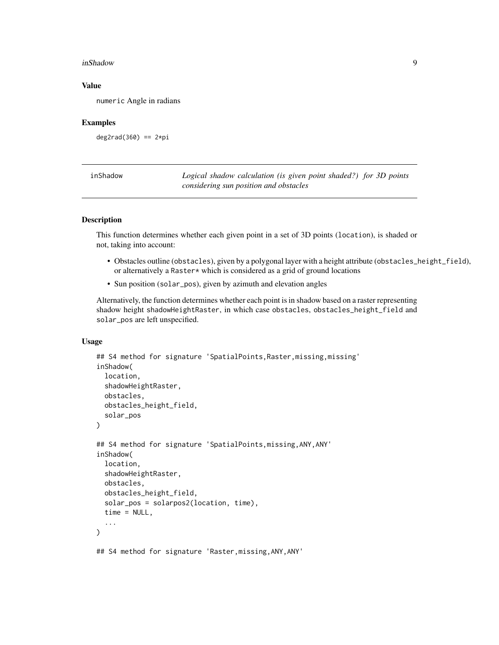#### <span id="page-8-0"></span>inShadow 9

# Value

numeric Angle in radians

#### Examples

deg2rad(360) ==  $2*pi$ 

<span id="page-8-1"></span>

| inShadow | Logical shadow calculation (is given point shaded?) for 3D points |
|----------|-------------------------------------------------------------------|
|          | considering sun position and obstacles                            |

# Description

This function determines whether each given point in a set of 3D points (location), is shaded or not, taking into account:

- Obstacles outline (obstacles), given by a polygonal layer with a height attribute (obstacles\_height\_field), or alternatively a Raster\* which is considered as a grid of ground locations
- Sun position (solar\_pos), given by azimuth and elevation angles

Alternatively, the function determines whether each point is in shadow based on a raster representing shadow height shadowHeightRaster, in which case obstacles, obstacles\_height\_field and solar\_pos are left unspecified.

# Usage

```
## S4 method for signature 'SpatialPoints, Raster, missing, missing'
inShadow(
  location,
  shadowHeightRaster,
  obstacles,
  obstacles_height_field,
  solar_pos
)
## S4 method for signature 'SpatialPoints,missing,ANY,ANY'
inShadow(
  location,
  shadowHeightRaster,
  obstacles,
  obstacles_height_field,
  solar_pos = solarpos2(location, time),
  time = NULL,
  ...
)
## S4 method for signature 'Raster,missing,ANY,ANY'
```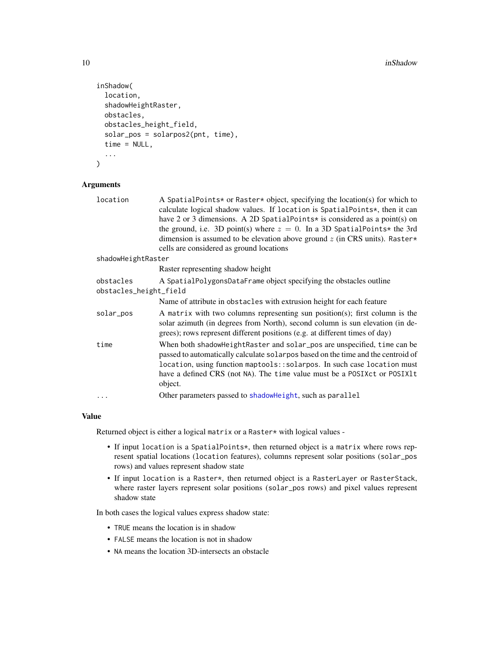```
inShadow(
  location,
  shadowHeightRaster,
 obstacles,
  obstacles_height_field,
  solar_pos = solarpos2(pnt, time),
  time = NULL,
  ...
)
```
# Arguments

| location               | A SpatialPoints* or Raster* object, specifying the location(s) for which to<br>calculate logical shadow values. If location is SpatialPoints*, then it can                                                                                                                                                                     |
|------------------------|--------------------------------------------------------------------------------------------------------------------------------------------------------------------------------------------------------------------------------------------------------------------------------------------------------------------------------|
|                        | have 2 or 3 dimensions. A 2D SpatialPoints* is considered as a point(s) on                                                                                                                                                                                                                                                     |
|                        | the ground, i.e. 3D point(s) where $z = 0$ . In a 3D SpatialPoints* the 3rd                                                                                                                                                                                                                                                    |
|                        | dimension is assumed to be elevation above ground $z$ (in CRS units). Raster*                                                                                                                                                                                                                                                  |
|                        | cells are considered as ground locations                                                                                                                                                                                                                                                                                       |
| shadowHeightRaster     |                                                                                                                                                                                                                                                                                                                                |
|                        | Raster representing shadow height                                                                                                                                                                                                                                                                                              |
| obstacles              | A SpatialPolygonsDataFrame object specifying the obstacles outline                                                                                                                                                                                                                                                             |
| obstacles_height_field |                                                                                                                                                                                                                                                                                                                                |
|                        | Name of attribute in obstacles with extrusion height for each feature                                                                                                                                                                                                                                                          |
| solar_pos              | A matrix with two columns representing sun position(s); first column is the<br>solar azimuth (in degrees from North), second column is sun elevation (in de-<br>grees); rows represent different positions (e.g. at different times of day)                                                                                    |
| time                   | When both shadowHeightRaster and solar_pos are unspecified, time can be<br>passed to automatically calculate solar pos based on the time and the centroid of<br>location, using function maptools::solarpos. In such case location must<br>have a defined CRS (not NA). The time value must be a POSIXct or POSIX1t<br>object. |
|                        | Other parameters passed to shadowHeight, such as parallel                                                                                                                                                                                                                                                                      |
|                        |                                                                                                                                                                                                                                                                                                                                |

# Value

Returned object is either a logical matrix or a Raster\* with logical values -

- If input location is a SpatialPoints\*, then returned object is a matrix where rows represent spatial locations (location features), columns represent solar positions (solar\_pos rows) and values represent shadow state
- If input location is a Raster\*, then returned object is a RasterLayer or RasterStack, where raster layers represent solar positions (solar\_pos rows) and pixel values represent shadow state

In both cases the logical values express shadow state:

- TRUE means the location is in shadow
- FALSE means the location is not in shadow
- NA means the location 3D-intersects an obstacle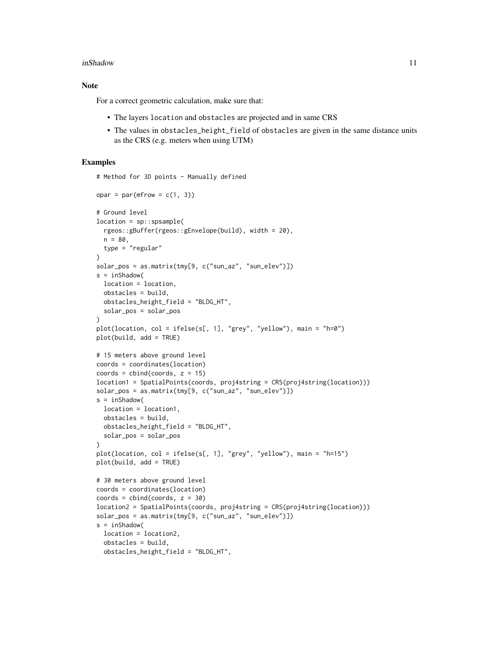#### inShadow 11

# Note

For a correct geometric calculation, make sure that:

- The layers location and obstacles are projected and in same CRS
- The values in obstacles\_height\_field of obstacles are given in the same distance units as the CRS (e.g. meters when using UTM)

# Examples

# Method for 3D points - Manually defined

```
opar = par(mfrow = c(1, 3))# Ground level
location = sp::spsample(
  rgeos::gBuffer(rgeos::gEnvelope(build), width = 20),
  n = 80,type = "regular"
)
solar_pos = as.matrix(tmy[9, c("sun_az", "sun_elev")])
s = inShadow(location = location,
  obstacles = build,
  obstacles_height_field = "BLDG_HT",
  solar_pos = solar_pos
\lambdaplot(location, col = ifelse(s[, 1], "grey", "yellow"), main = "h=0")
plot(build, add = TRUE)
# 15 meters above ground level
coords = coordinates(location)
coords = cbind(coords, z = 15)location1 = SpatialPoints(coords, proj4string = CRS(proj4string(location)))
solar_pos = as.matrix(tmy[9, c("sun_az", "sun_elev")])
s = inShadow(location = location1,
  obstacles = build,
 obstacles_height_field = "BLDG_HT",
  solar_pos = solar_pos
)
plot(location, col = ifelse(s[, 1], "grey", "yellow"), main = "h=15")
plot(build, add = TRUE)
# 30 meters above ground level
coords = coordinates(location)
coordinates = child(coords, z = 30)location2 = SpatialPoints(coords, proj4string = CRS(proj4string(location)))
solar_pos = as.matrix(tmy[9, c("sun_az", "sun_elev")])
s = inShadow(location = location2,
  obstacles = build,
  obstacles_height_field = "BLDG_HT",
```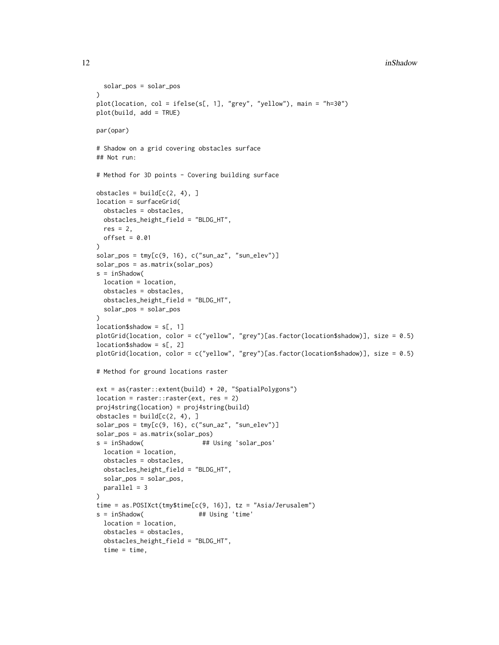```
solar_pos = solar_pos
\lambdaplot(location, col = ifelse(s[, 1], "grey", "yellow"), main = "h=30")
plot(build, add = TRUE)
par(opar)
# Shadow on a grid covering obstacles surface
## Not run:
# Method for 3D points - Covering building surface
obstack = build[c(2, 4), ]location = surfaceGrid(
 obstacles = obstacles,
 obstacles_height_field = "BLDG_HT",
 res = 2,
 offset = 0.01)
solar_pos = tmp[c(9, 16), c("sun_az", "sun_elev")]solar_pos = as.matrix(solar_pos)
s = inShadow(location = location,
 obstacles = obstacles,
 obstacles_height_field = "BLDG_HT",
 solar_pos = solar_pos
)
location$shadow = s[, 1]plotGrid(location, color = c("yellow", "grey")[as.factor(location$shadow)], size = 0.5)
location$shadow = s[, 2]
plotGrid(location, color = c("yellow", "grey")[as.factor(location$shadow)], size = 0.5)
# Method for ground locations raster
ext = as(raster::extent(build) + 20, "SpatialPolygons")
location = raster::raster(ext, res = 2)proj4string(location) = proj4string(build)
obstack = build[c(2, 4), ]solar_pos = tmp[c(9, 16), c("sun_az", "sun_elev")]solar_pos = as.matrix(solar_pos)
s = inShadow( ## Using 'solar_pos'
 location = location,
 obstacles = obstacles,
 obstacles_height_field = "BLDG_HT",
 solar_pos = solar_pos,
 parallel = 3
)
time = as.POSIXct(tmy$time[c(9, 16)], tz = "Asia/Jerusalem")
s = inShadow( ## Using 'time'
 location = location,
 obstacles = obstacles,
 obstacles_height_field = "BLDG_HT",
 time = time,
```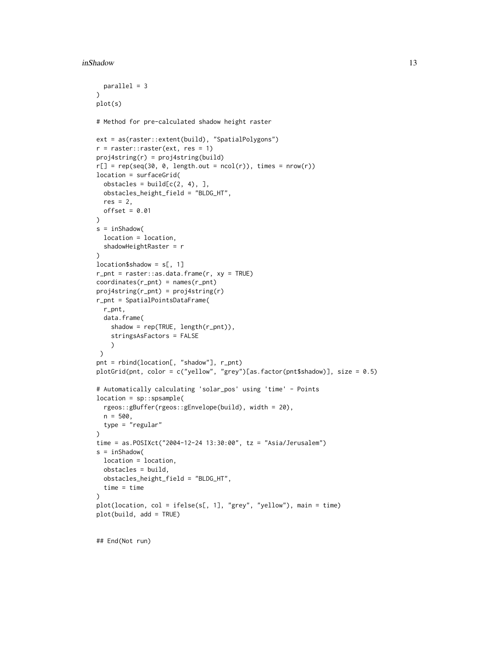#### inShadow 13

```
parallel = 3
\lambdaplot(s)
# Method for pre-calculated shadow height raster
ext = as(raster::extent(build), "SpatialPolygons")
r = raster:: raster(ext, res = 1)
proj4string(r) = proj4string(build)
r[] = rep(seq(30, 0, length.out = ncol(r)), times = nrow(r))location = surfaceGrid(
  obstackes = build[c(2, 4), ]obstacles_height_field = "BLDG_HT",
  res = 2,
 offset = 0.01)
s = inShadow(
  location = location,
  shadowHeightRaster = r
)
location$shadow = s[, 1]r\_pnt = raster::as.data.frame(r, xy = TRUE)coordinates(r_pnt) = names(r_pnt)
proj4string(r_pnt) = proj4string(r)
r_pnt = SpatialPointsDataFrame(
  r_pnt,
 data.frame(
   shadow = rep(TRUE, length(r_pnt)),
    stringsAsFactors = FALSE
    )
\lambdapnt = rbind(location[, "shadow"], r_pnt)
plotGrid(pnt, color = c("yellow", "grey")[as.factor(pnt$shadow)], size = 0.5)
# Automatically calculating 'solar_pos' using 'time' - Points
location = sp::spsample(
  rgeos::gBuffer(rgeos::gEnvelope(build), width = 20),
  n = 500,type = "regular"
)
time = as.POSIXct("2004-12-24 13:30:00", tz = "Asia/Jerusalem")
s = inShadow(
  location = location,
  obstacles = build,
  obstacles_height_field = "BLDG_HT",
 time = time
)
plot(location, col = ifelse(s[, 1], "grey", "yellow"), main = time)
plot(build, add = TRUE)
```
## End(Not run)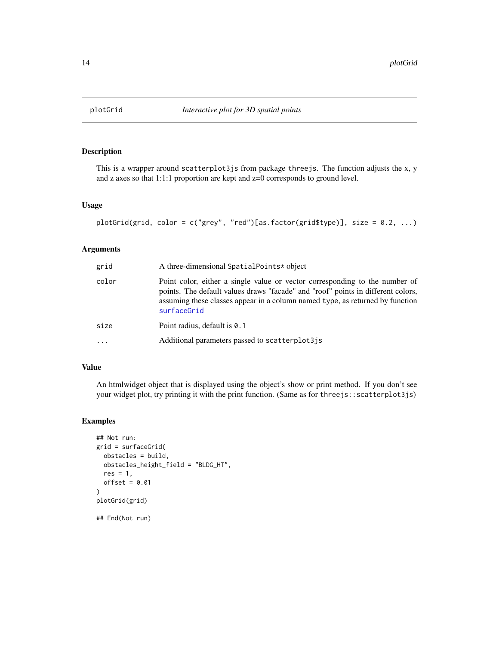<span id="page-13-1"></span><span id="page-13-0"></span>

This is a wrapper around scatterplot3js from package threejs. The function adjusts the x, y and z axes so that 1:1:1 proportion are kept and z=0 corresponds to ground level.

#### Usage

```
plotGrid(grid, color = c("grey", "red")[as.factor(grid$type)], size = 0.2, ...)
```
#### Arguments

| grid    | A three-dimensional SpatialPoints* object                                                                                                                                                                                                                       |
|---------|-----------------------------------------------------------------------------------------------------------------------------------------------------------------------------------------------------------------------------------------------------------------|
| color   | Point color, either a single value or vector corresponding to the number of<br>points. The default values draws "facade" and "roof" points in different colors,<br>assuming these classes appear in a column named type, as returned by function<br>surfaceGrid |
| size    | Point radius, default is 0.1                                                                                                                                                                                                                                    |
| $\cdot$ | Additional parameters passed to scatterplot3js                                                                                                                                                                                                                  |

# Value

An htmlwidget object that is displayed using the object's show or print method. If you don't see your widget plot, try printing it with the print function. (Same as for three js: : scatterplot3js)

```
## Not run:
grid = surfaceGrid(
  obstacles = build,
  obstacles_height_field = "BLDG_HT",
  res = 1,
  offset = 0.01\mathcal{L}plotGrid(grid)
## End(Not run)
```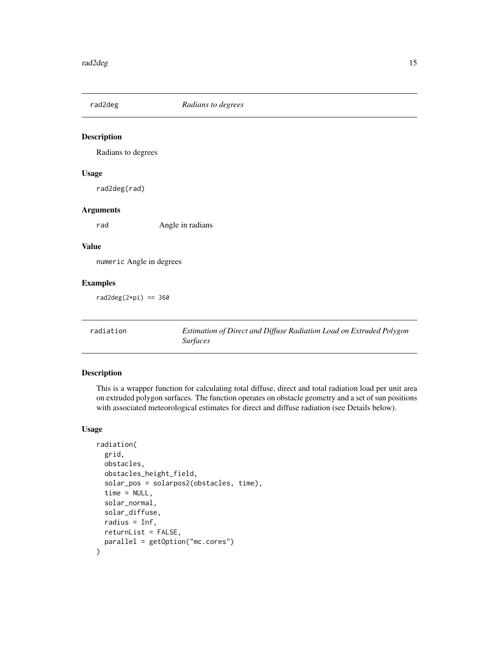<span id="page-14-0"></span>

Radians to degrees

#### Usage

rad2deg(rad)

# Arguments

rad Angle in radians

# Value

numeric Angle in degrees

# Examples

rad2deg $(2*pi) == 360$ 

radiation *Estimation of Direct and Diffuse Radiation Load on Extruded Polygon Surfaces*

# Description

This is a wrapper function for calculating total diffuse, direct and total radiation load per unit area on extruded polygon surfaces. The function operates on obstacle geometry and a set of sun positions with associated meteorological estimates for direct and diffuse radiation (see Details below).

# Usage

```
radiation(
 grid,
 obstacles,
 obstacles_height_field,
  solar_pos = solarpos2(obstacles, time),
  time = NULL,
  solar_normal,
  solar_diffuse,
  radius = Inf,
  returnList = FALSE,
 parallel = getOption("mc.cores")
\mathcal{E}
```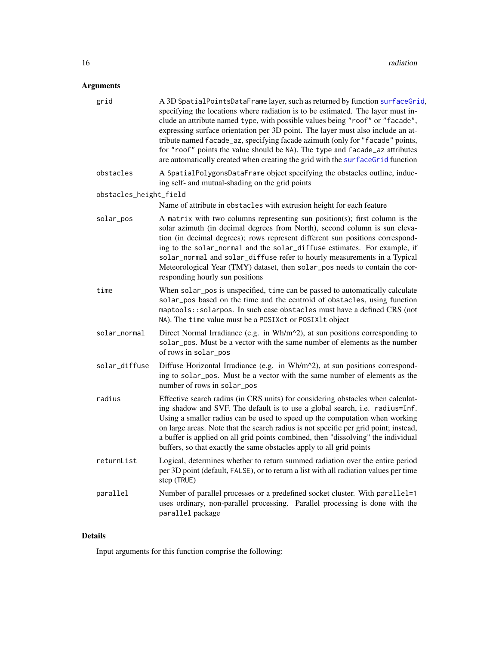# <span id="page-15-0"></span>Arguments

| grid                   | A 3D SpatialPointsDataFrame layer, such as returned by function surfaceGrid,<br>specifying the locations where radiation is to be estimated. The layer must in-<br>clude an attribute named type, with possible values being "roof" or "facade",<br>expressing surface orientation per 3D point. The layer must also include an at-<br>tribute named facade_az, specifying facade azimuth (only for "facade" points,<br>for "roof" points the value should be NA). The type and facade_az attributes<br>are automatically created when creating the grid with the surfaceGrid function |
|------------------------|----------------------------------------------------------------------------------------------------------------------------------------------------------------------------------------------------------------------------------------------------------------------------------------------------------------------------------------------------------------------------------------------------------------------------------------------------------------------------------------------------------------------------------------------------------------------------------------|
| obstacles              | A SpatialPolygonsDataFrame object specifying the obstacles outline, induc-<br>ing self- and mutual-shading on the grid points                                                                                                                                                                                                                                                                                                                                                                                                                                                          |
| obstacles_height_field | Name of attribute in obstacles with extrusion height for each feature                                                                                                                                                                                                                                                                                                                                                                                                                                                                                                                  |
| solar_pos              | A matrix with two columns representing sun position(s); first column is the<br>solar azimuth (in decimal degrees from North), second column is sun eleva-<br>tion (in decimal degrees); rows represent different sun positions correspond-<br>ing to the solar_normal and the solar_diffuse estimates. For example, if<br>solar_normal and solar_diffuse refer to hourly measurements in a Typical<br>Meteorological Year (TMY) dataset, then solar_pos needs to contain the cor-<br>responding hourly sun positions                                                                   |
| time                   | When solar_pos is unspecified, time can be passed to automatically calculate<br>solar_pos based on the time and the centroid of obstacles, using function<br>maptools::solarpos. In such case obstacles must have a defined CRS (not<br>NA). The time value must be a POSIXct or POSIX1t object                                                                                                                                                                                                                                                                                        |
| solar_normal           | Direct Normal Irradiance (e.g. in Wh/m^2), at sun positions corresponding to<br>solar_pos. Must be a vector with the same number of elements as the number<br>of rows in solar_pos                                                                                                                                                                                                                                                                                                                                                                                                     |
| solar_diffuse          | Diffuse Horizontal Irradiance (e.g. in $Wh/m^2$ ), at sun positions correspond-<br>ing to solar_pos. Must be a vector with the same number of elements as the<br>number of rows in solar_pos                                                                                                                                                                                                                                                                                                                                                                                           |
| radius                 | Effective search radius (in CRS units) for considering obstacles when calculat-<br>ing shadow and SVF. The default is to use a global search, i.e. radius=Inf.<br>Using a smaller radius can be used to speed up the computation when working<br>on large areas. Note that the search radius is not specific per grid point; instead,<br>a buffer is applied on all grid points combined, then "dissolving" the individual<br>buffers, so that exactly the same obstacles apply to all grid points                                                                                     |
| returnList             | Logical, determines whether to return summed radiation over the entire period<br>per 3D point (default, FALSE), or to return a list with all radiation values per time<br>step (TRUE)                                                                                                                                                                                                                                                                                                                                                                                                  |
| parallel               | Number of parallel processes or a predefined socket cluster. With parallel=1<br>uses ordinary, non-parallel processing. Parallel processing is done with the<br>parallel package                                                                                                                                                                                                                                                                                                                                                                                                       |
|                        |                                                                                                                                                                                                                                                                                                                                                                                                                                                                                                                                                                                        |

# Details

Input arguments for this function comprise the following: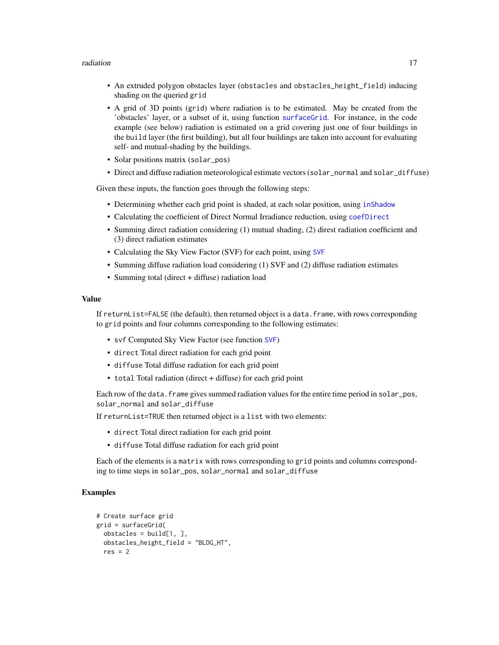#### <span id="page-16-0"></span>radiation and the contract of the contract of the contract of the contract of the contract of the contract of the contract of the contract of the contract of the contract of the contract of the contract of the contract of

- An extruded polygon obstacles layer (obstacles and obstacles\_height\_field) inducing shading on the queried grid
- A grid of 3D points (grid) where radiation is to be estimated. May be created from the 'obstacles' layer, or a subset of it, using function [surfaceGrid](#page-26-1). For instance, in the code example (see below) radiation is estimated on a grid covering just one of four buildings in the build layer (the first building), but all four buildings are taken into account for evaluating self- and mutual-shading by the buildings.
- Solar positions matrix (solar\_pos)
- Direct and diffuse radiation meteorological estimate vectors (solar\_normal and solar\_diffuse)

Given these inputs, the function goes through the following steps:

- Determining whether each grid point is shaded, at each solar position, using [inShadow](#page-8-1)
- Calculating the coefficient of Direct Normal Irradiance reduction, using [coefDirect](#page-6-1)
- Summing direct radiation considering (1) mutual shading, (2) direst radiation coefficient and (3) direct radiation estimates
- Calculating the Sky View Factor (SVF) for each point, using [SVF](#page-28-1)
- Summing diffuse radiation load considering (1) SVF and (2) diffuse radiation estimates
- Summing total (direct + diffuse) radiation load

#### Value

If returnList=FALSE (the default), then returned object is a data.frame, with rows corresponding to grid points and four columns corresponding to the following estimates:

- svf Computed Sky View Factor (see function [SVF](#page-28-1))
- direct Total direct radiation for each grid point
- diffuse Total diffuse radiation for each grid point
- total Total radiation (direct + diffuse) for each grid point

Each row of the data. frame gives summed radiation values for the entire time period in solar\_pos, solar\_normal and solar\_diffuse

If returnList=TRUE then returned object is a list with two elements:

- direct Total direct radiation for each grid point
- diffuse Total diffuse radiation for each grid point

Each of the elements is a matrix with rows corresponding to grid points and columns corresponding to time steps in solar\_pos, solar\_normal and solar\_diffuse

```
# Create surface grid
grid = surfaceGrid(
 obstackes = build[1, ]obstacles_height_field = "BLDG_HT",
 res = 2
```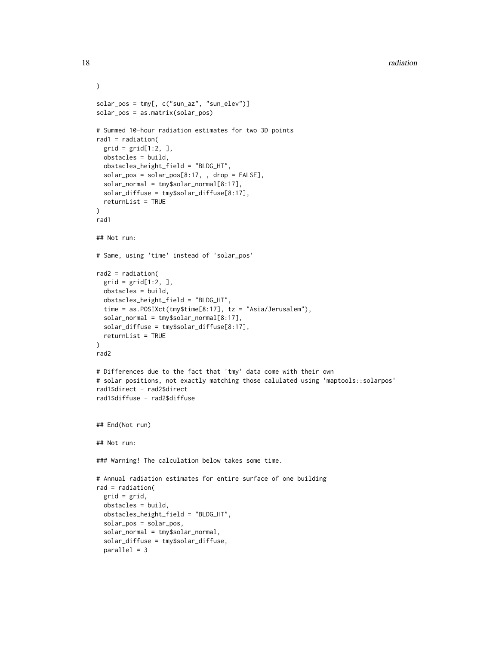```
)
solar_pos = tmy[, c("sun_az", "sun_elev")]
solar_pos = as.matrix(solar_pos)
# Summed 10-hour radiation estimates for two 3D points
rad1 = radiation(
  grid = grid[1:2, ]obstacles = build,
  obstacles_height_field = "BLDG_HT",
  solar_pos = solar_pos[8:17, , drop = FALSE],solar_normal = tmy$solar_normal[8:17],
  solar_diffuse = tmy$solar_diffuse[8:17],
  returnList = TRUE
)
rad1
## Not run:
# Same, using 'time' instead of 'solar_pos'
rad2 = radiation(
  grid = grid[1:2, ]obstacles = build,
  obstacles_height_field = "BLDG_HT",
  time = as.POSIXct(tmy$time[8:17], tz = "Asia/Jerusalem"),
  solar_normal = tmy$solar_normal[8:17],
  solar_diffuse = tmy$solar_diffuse[8:17],
  returnList = TRUE
\mathcal{L}rad2
# Differences due to the fact that 'tmy' data come with their own
# solar positions, not exactly matching those calulated using 'maptools::solarpos'
rad1$direct - rad2$direct
rad1$diffuse - rad2$diffuse
## End(Not run)
## Not run:
### Warning! The calculation below takes some time.
# Annual radiation estimates for entire surface of one building
rad = radiation(
  grid = grid,
  obstacles = build,
  obstacles_height_field = "BLDG_HT",
  solar_pos = solar_pos,
  solar_normal = tmy$solar_normal,
  solar_diffuse = tmy$solar_diffuse,
  parallel = 3
```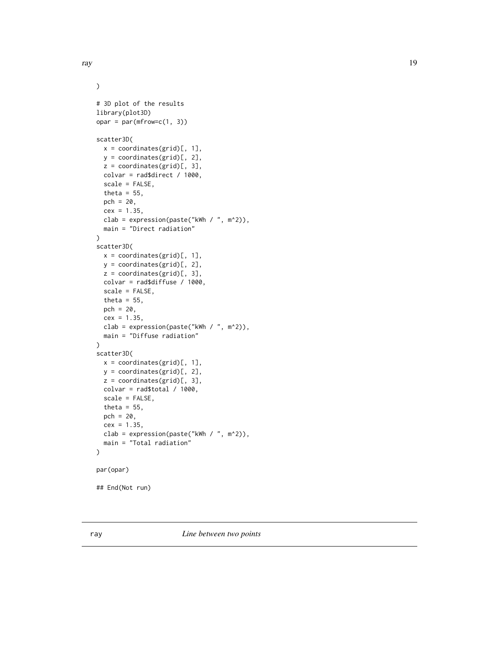```
\mathcal{L}# 3D plot of the results
library(plot3D)
opar = par(mfrow=c(1, 3))scatter3D(
  x = coordinates(grid)[, 1],y = coordinates(grid)[, 2],
  z = coordinates(grid)[, 3],
  colvar = rad$direct / 1000,
  scale = FALSE,
  theta = 55,
  pch = 20,
  cex = 1.35,clab = expression(paste("kWh / ", m^2)),
  main = "Direct radiation"
)
scatter3D(
  x = coordinates(grid)[, 1],y = coordinates(grid)[, 2],
  z = coordinates(grid)[, 3],colvar = rad$diffuse / 1000,
  scale = FALSE,
  theta = 55,
  pch = 20,
  cex = 1.35,
  clab = expression(paste("kWh / ", m^2)),
  main = "Diffuse radiation"
)
scatter3D(
  x = coordinates(grid)[, 1],y = coordinates(grid)[, 2],
  z = coordinates(grid)[, 3],
  colvar = rad$total / 1000,scale = FALSE,
  theta = 55,
  pch = 20,
  cex = 1.35,clab = expression(paste("kWh / ", m^2)),
  main = "Total radiation"
)
par(opar)
## End(Not run)
```
<span id="page-18-0"></span>ray the contract of the contract of the contract of the contract of the contract of the contract of the contract of the contract of the contract of the contract of the contract of the contract of the contract of the contra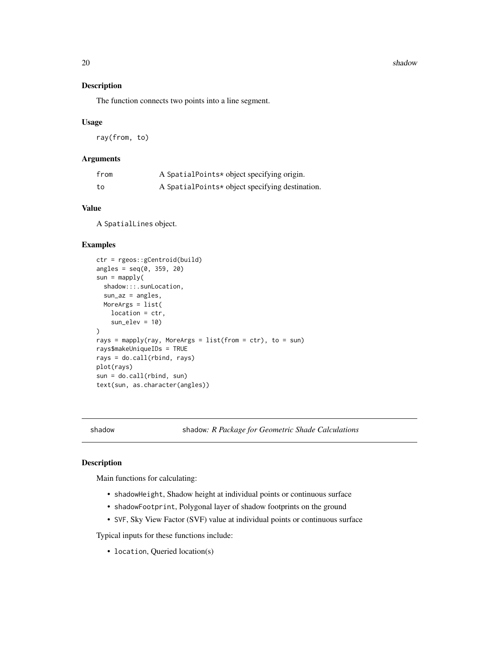20 shadow shadow shadow shadow shadow shadow shadow shadow shadow shadow shadow shadow shadow shadow shadow shadow shadow shadow shadow shadow shadow shadow shadow shadow shadow shadow shadow shadow shadow shadow shadow sh

# Description

The function connects two points into a line segment.

# Usage

ray(from, to)

# Arguments

| from | A SpatialPoints* object specifying origin.      |
|------|-------------------------------------------------|
| to   | A SpatialPoints* object specifying destination. |

# Value

A SpatialLines object.

# Examples

```
ctr = rgeos::gCentroid(build)
angles = seq(0, 359, 20)sun = maply(shadow:::.sunLocation,
  sun_az = angles,
  MoreArgs = list(
   location = ctr,
    sun\_elev = 10\mathcal{L}rays = mapply(ray, MoreArgs = list(from = ctr), to = sun)
rays$makeUniqueIDs = TRUE
rays = do.call(rbind, rays)
plot(rays)
sun = do.call(rbind, sun)
text(sun, as.character(angles))
```
shadow shadow*: R Package for Geometric Shade Calculations*

# Description

Main functions for calculating:

- shadowHeight, Shadow height at individual points or continuous surface
- shadowFootprint, Polygonal layer of shadow footprints on the ground
- SVF, Sky View Factor (SVF) value at individual points or continuous surface

Typical inputs for these functions include:

• location, Queried location(s)

<span id="page-19-0"></span>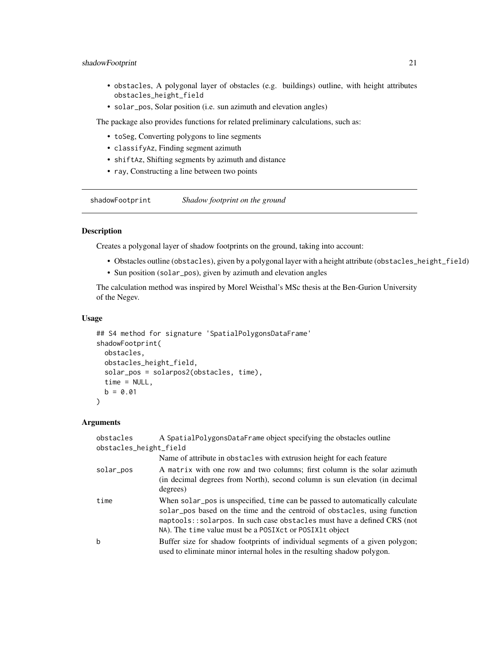# <span id="page-20-0"></span>shadowFootprint 21

- obstacles, A polygonal layer of obstacles (e.g. buildings) outline, with height attributes obstacles\_height\_field
- solar\_pos, Solar position (i.e. sun azimuth and elevation angles)

The package also provides functions for related preliminary calculations, such as:

- toSeg, Converting polygons to line segments
- classifyAz, Finding segment azimuth
- shiftAz, Shifting segments by azimuth and distance
- ray, Constructing a line between two points

shadowFootprint *Shadow footprint on the ground*

# Description

Creates a polygonal layer of shadow footprints on the ground, taking into account:

- Obstacles outline (obstacles), given by a polygonal layer with a height attribute (obstacles\_height\_field)
- Sun position (solar\_pos), given by azimuth and elevation angles

The calculation method was inspired by Morel Weisthal's MSc thesis at the Ben-Gurion University of the Negev.

# Usage

```
## S4 method for signature 'SpatialPolygonsDataFrame'
shadowFootprint(
 obstacles,
  obstacles_height_field,
  solar_pos = solarpos2(obstacles, time),
  time = NULL,
 b = 0.01)
```
# Arguments

| obstacles<br>obstacles_height_field | A SpatialPolygonsDataFrame object specifying the obstacles outline                                                                                                                                                                                                                                  |
|-------------------------------------|-----------------------------------------------------------------------------------------------------------------------------------------------------------------------------------------------------------------------------------------------------------------------------------------------------|
|                                     | Name of attribute in obstacles with extrusion height for each feature                                                                                                                                                                                                                               |
| solar_pos                           | A matrix with one row and two columns; first column is the solar azimuth<br>(in decimal degrees from North), second column is sun elevation (in decimal<br>degrees)                                                                                                                                 |
| time                                | When solar_pos is unspecified, time can be passed to automatically calculate<br>solar_pos based on the time and the centroid of obstacles, using function<br>maptools: : solarpos. In such case obstacles must have a defined CRS (not<br>NA). The time value must be a POSIX ct or POSIX lt object |
| b                                   | Buffer size for shadow footprints of individual segments of a given polygon;<br>used to eliminate minor internal holes in the resulting shadow polygon.                                                                                                                                             |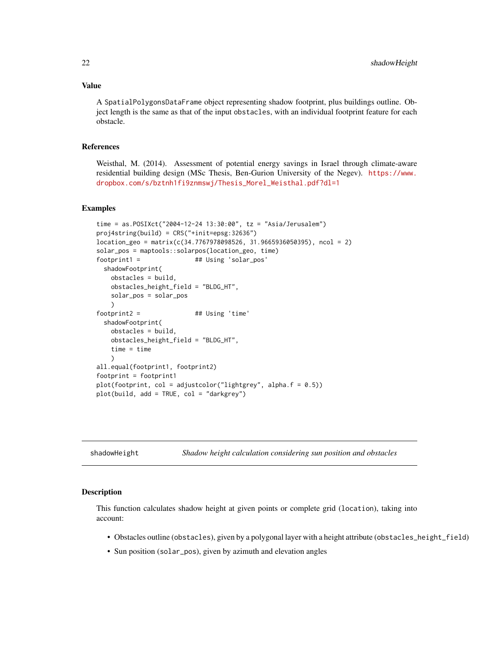#### <span id="page-21-0"></span>Value

A SpatialPolygonsDataFrame object representing shadow footprint, plus buildings outline. Object length is the same as that of the input obstacles, with an individual footprint feature for each obstacle.

# References

Weisthal, M. (2014). Assessment of potential energy savings in Israel through climate-aware residential building design (MSc Thesis, Ben-Gurion University of the Negev). [https://www.](https://www.dropbox.com/s/bztnh1fi9znmswj/Thesis_Morel_Weisthal.pdf?dl=1) [dropbox.com/s/bztnh1fi9znmswj/Thesis\\_Morel\\_Weisthal.pdf?dl=1](https://www.dropbox.com/s/bztnh1fi9znmswj/Thesis_Morel_Weisthal.pdf?dl=1)

#### Examples

```
time = as.POSIXct("2004-12-24 13:30:00", tz = "Asia/Jerusalem")
proj4string(build) = CRS("+init=epsg:32636")
location\_geo = matrix(c(34.7767978098526, 31.9665936050395), ncol = 2)solar_pos = maptools::solarpos(location_geo, time)
footprint1 = \qquad ## Using 'solar_pos'
 shadowFootprint(
   obstacles = build,
   obstacles_height_field = "BLDG_HT",
   solar_pos = solar_pos
   \lambdafootprint2 = ## Using 'time'
 shadowFootprint(
   obstacles = build,
   obstacles_height_field = "BLDG_HT",
   time = time
   )
all.equal(footprint1, footprint2)
footprint = footprint1
plot(footprint, col = adjustment("lightgrey", alpha.f = 0.5))plot(build, add = TRUE, col = "darkgrey")
```
<span id="page-21-1"></span>

| shadowHeight | Shadow height calculation considering sun position and obstacles |  |  |  |  |
|--------------|------------------------------------------------------------------|--|--|--|--|
|              |                                                                  |  |  |  |  |

#### Description

This function calculates shadow height at given points or complete grid (location), taking into account:

- Obstacles outline (obstacles), given by a polygonal layer with a height attribute (obstacles\_height\_field)
- Sun position (solar\_pos), given by azimuth and elevation angles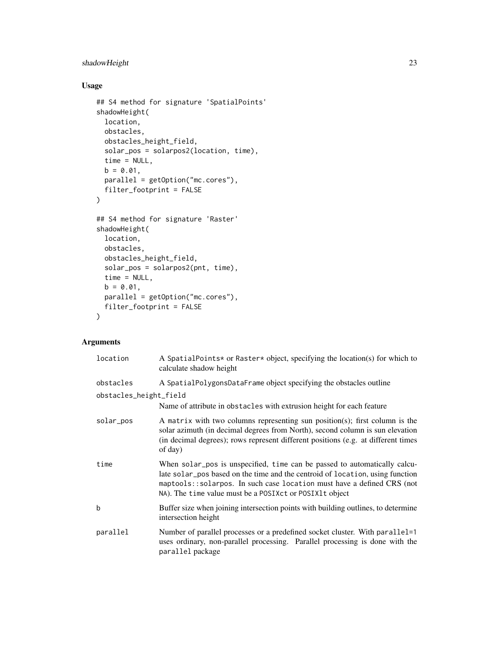# shadowHeight 23

# Usage

```
## S4 method for signature 'SpatialPoints'
shadowHeight(
 location,
 obstacles,
  obstacles_height_field,
  solar_pos = solarpos2(location, time),
  time = NULL,
 b = 0.01,parallel = getOption("mc.cores"),
  filter_footprint = FALSE
\mathcal{L}## S4 method for signature 'Raster'
shadowHeight(
 location,
 obstacles,
 obstacles_height_field,
  solar_pos = solarpos2(pnt, time),
  time = NULL,
 b = 0.01,
 parallel = getOption("mc.cores"),
 filter_footprint = FALSE
\mathcal{L}
```
# Arguments

| location               | A SpatialPoints* or Raster* object, specifying the location(s) for which to<br>calculate shadow height                                                                                                                                                                                          |
|------------------------|-------------------------------------------------------------------------------------------------------------------------------------------------------------------------------------------------------------------------------------------------------------------------------------------------|
| obstacles              | A SpatialPolygonsDataFrame object specifying the obstacles outline                                                                                                                                                                                                                              |
| obstacles_height_field | Name of attribute in obstacles with extrusion height for each feature                                                                                                                                                                                                                           |
| solar_pos              | A matrix with two columns representing sun position(s); first column is the<br>solar azimuth (in decimal degrees from North), second column is sun elevation<br>(in decimal degrees); rows represent different positions (e.g. at different times<br>of day)                                    |
| time                   | When solar pos is unspecified, time can be passed to automatically calcu-<br>late solar_pos based on the time and the centroid of location, using function<br>maptools::solarpos. In such case location must have a defined CRS (not<br>NA). The time value must be a POSIXct or POSIX1t object |
| $\mathbf b$            | Buffer size when joining intersection points with building outlines, to determine<br>intersection height                                                                                                                                                                                        |
| parallel               | Number of parallel processes or a predefined socket cluster. With parallel=1<br>uses ordinary, non-parallel processing. Parallel processing is done with the<br>parallel package                                                                                                                |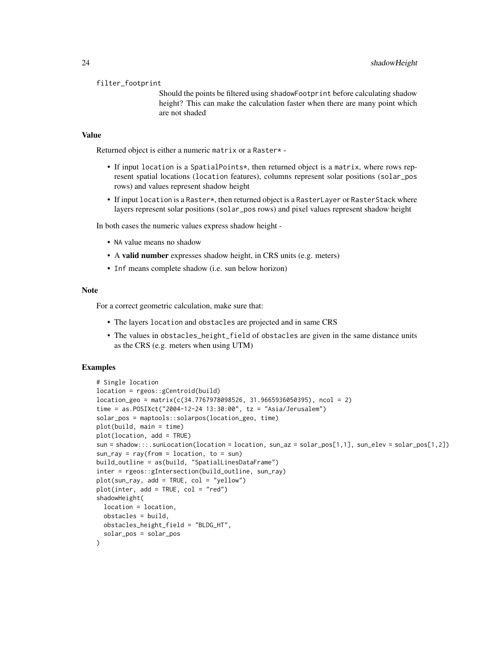#### filter\_footprint

Should the points be filtered using shadowFootprint before calculating shadow height? This can make the calculation faster when there are many point which are not shaded

#### Value

Returned object is either a numeric matrix or a Raster\* -

- If input location is a SpatialPoints\*, then returned object is a matrix, where rows represent spatial locations (location features), columns represent solar positions (solar\_pos rows) and values represent shadow height
- If input location is a Raster  $\star$ , then returned object is a Raster Layer or Raster Stack where layers represent solar positions (solar\_pos rows) and pixel values represent shadow height

In both cases the numeric values express shadow height -

- NA value means no shadow
- A valid number expresses shadow height, in CRS units (e.g. meters)
- Inf means complete shadow (i.e. sun below horizon)

# Note

For a correct geometric calculation, make sure that:

- The layers location and obstacles are projected and in same CRS
- The values in obstacles\_height\_field of obstacles are given in the same distance units as the CRS (e.g. meters when using UTM)

```
# Single location
location = rgeos::gCentroid(build)
location\_geo = matrix(c(34.7767978098526, 31.9665936050395), ncol = 2)time = as.POSIXct("2004-12-24 13:30:00", tz = "Asia/Jerusalem")
solar_pos = maptools::solarpos(location_geo, time)
plot(build, main = time)
plot(location, add = TRUE)
sun = shadow:::.sunLocation(location = location, sun_az = solar_pos[1,1], sun_elev = solar_pos[1,2])
sun-ray = ray(from = location, to = sun)build_outline = as(build, "SpatialLinesDataFrame")
inter = rgeos::gIntersection(build_outline, sun_ray)
plot(sun_ray, add = TRUE, col = "yellow")
plot(inter, add = TRUE, col = "red")shadowHeight(
 location = location,
 obstacles = build,
 obstacles_height_field = "BLDG_HT",
 solar_pos = solar_pos
)
```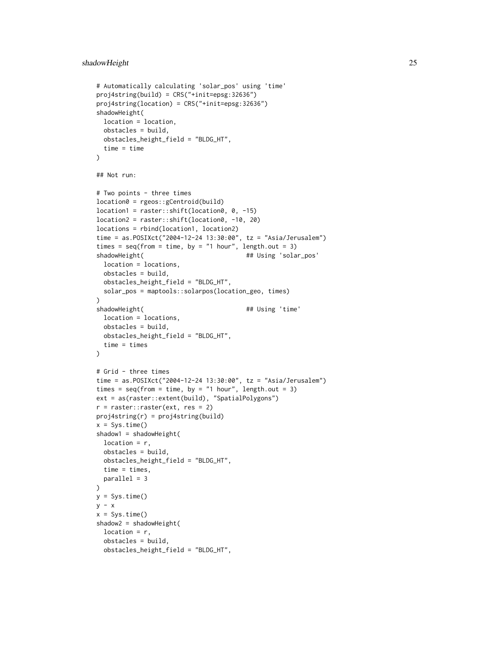```
# Automatically calculating 'solar_pos' using 'time'
proj4string(build) = CRS("+init=epsg:32636")
proj4string(location) = CRS("+init=epsg:32636")
shadowHeight(
  location = location,
  obstacles = build,
  obstacles_height_field = "BLDG_HT",
  time = time
\lambda## Not run:
# Two points - three times
location0 = rgeos::gCentroid(build)
location1 = raster::shift(location0, 0, -15)
location2 = raster::shift(location0, -10, 20)
locations = rbind(location1, location2)
time = as.POSIXct("2004-12-24 13:30:00", tz = "Asia/Jerusalem")
times = seq(from = time, by = "1 hour", length.out = 3)shadowHeight( \qquad \qquad \qquad \qquad \qquad \qquad \qquad \qquad \qquad \qquad \qquad \qquad \qquad \qquad \qquad \qquad \qquad \qquad \qquad \qquad \qquad \qquad \qquad \qquad \qquad \qquad \qquad \qquad \qquad \qquad \qquad \qquad \qquad \qquad \qquadlocation = locations,
  obstacles = build,
  obstacles_height_field = "BLDG_HT",
  solar_pos = maptools::solarpos(location_geo, times)
\mathcal{L}shadowHeight( \qquad ## Using 'time'
  location = locations,
  obstacles = build,
  obstacles_height_field = "BLDG_HT",
  time = times
\lambda# Grid - three times
time = as.POSIXct("2004-12-24 13:30:00", tz = "Asia/Jerusalem")
times = seq(from = time, by = "1 hour", length.out = 3)ext = as(raster::extent(build), "SpatialPolygons")
r = raster::raster(ext, res = 2)proj4string(r) = proj4string(build)
x = Sys.time()shadow1 = shadowHeight(
  location = r,
  obstacles = build,
  obstacles_height_field = "BLDG_HT",
  time = times,
  parallel = 3
)
y = Sys.time()
y - xx = Sys.time()shadow2 = shadowHeight(
  location = r,
  obstacles = build,
  obstacles_height_field = "BLDG_HT",
```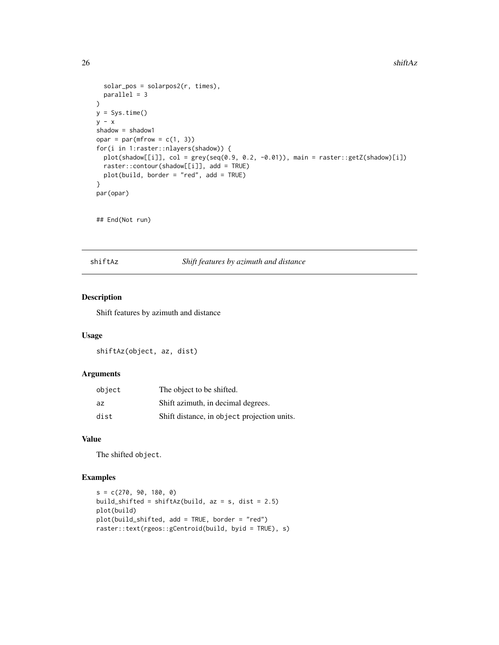```
solar_pos = solarpos2(r, times),
  parallel = 3
)
y = Sys.time()y - xshadow = shadow1
opar = par(mfrow = c(1, 3))for(i in 1:raster::nlayers(shadow)) {
  plot(shadow[[i]], col = grey(seq(0.9, 0.2, -0.01)), main = raster::getZ(shadow)[i])
  raster::contour(shadow[[i]], add = TRUE)
  plot(build, border = "red", add = TRUE)
}
par(opar)
```
## End(Not run)

shiftAz *Shift features by azimuth and distance*

# Description

Shift features by azimuth and distance

# Usage

shiftAz(object, az, dist)

#### Arguments

| object | The object to be shifted.                   |
|--------|---------------------------------------------|
| az     | Shift azimuth, in decimal degrees.          |
| dist   | Shift distance, in object projection units. |

# Value

The shifted object.

```
s = c(270, 90, 180, 0)build_shifted = shiftAz(build, az = s, dist = 2.5)
plot(build)
plot(build_shifted, add = TRUE, border = "red")
raster::text(rgeos::gCentroid(build, byid = TRUE), s)
```
<span id="page-25-0"></span>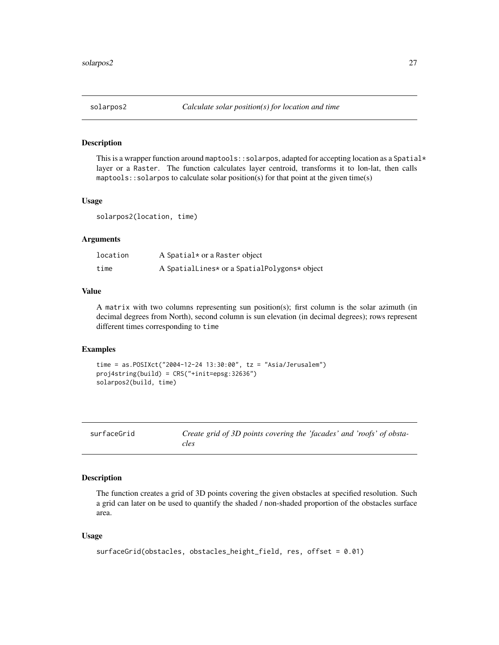<span id="page-26-0"></span>

This is a wrapper function around maptools::solarpos, adapted for accepting location as a Spatial $*$ layer or a Raster. The function calculates layer centroid, transforms it to lon-lat, then calls maptools:: solarpos to calculate solar position(s) for that point at the given time(s)

# Usage

solarpos2(location, time)

#### Arguments

| location | A Spatial* or a Raster object                |
|----------|----------------------------------------------|
| time     | A SpatialLines* or a SpatialPolygons* object |

# Value

A matrix with two columns representing sun position(s); first column is the solar azimuth (in decimal degrees from North), second column is sun elevation (in decimal degrees); rows represent different times corresponding to time

# Examples

```
time = as.POSIXct("2004-12-24 13:30:00", tz = "Asia/Jerusalem")
proj4string(build) = CRS("+init=epsg:32636")
solarpos2(build, time)
```
<span id="page-26-1"></span>

| surfaceGrid | Create grid of 3D points covering the 'facades' and 'roofs' of obsta- |
|-------------|-----------------------------------------------------------------------|
|             | cles                                                                  |

# Description

The function creates a grid of 3D points covering the given obstacles at specified resolution. Such a grid can later on be used to quantify the shaded / non-shaded proportion of the obstacles surface area.

#### Usage

```
surfaceGrid(obstacles, obstacles_height_field, res, offset = 0.01)
```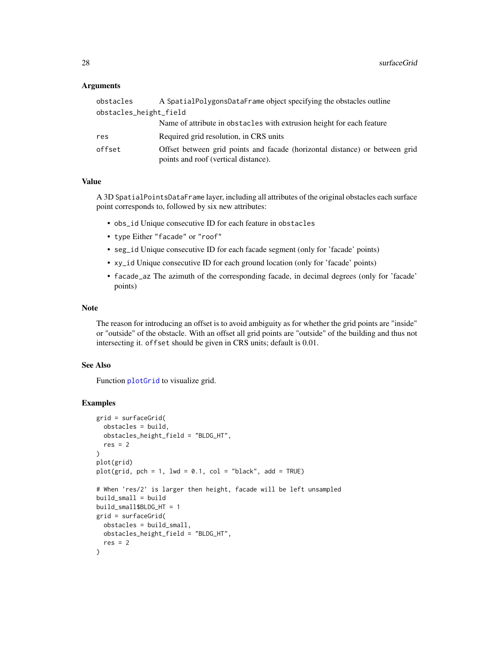# <span id="page-27-0"></span>Arguments

| obstacles              | A SpatialPolygonsDataFrame object specifying the obstacles outline                                                  |
|------------------------|---------------------------------------------------------------------------------------------------------------------|
| obstacles_height_field |                                                                                                                     |
|                        | Name of attribute in obstacles with extrusion height for each feature                                               |
| res                    | Required grid resolution, in CRS units                                                                              |
| offset                 | Offset between grid points and facade (horizontal distance) or between grid<br>points and roof (vertical distance). |

# Value

A 3D SpatialPointsDataFrame layer, including all attributes of the original obstacles each surface point corresponds to, followed by six new attributes:

- obs\_id Unique consecutive ID for each feature in obstacles
- type Either "facade" or "roof"
- seg\_id Unique consecutive ID for each facade segment (only for 'facade' points)
- xy\_id Unique consecutive ID for each ground location (only for 'facade' points)
- facade\_az The azimuth of the corresponding facade, in decimal degrees (only for 'facade' points)

# Note

The reason for introducing an offset is to avoid ambiguity as for whether the grid points are "inside" or "outside" of the obstacle. With an offset all grid points are "outside" of the building and thus not intersecting it. offset should be given in CRS units; default is 0.01.

#### See Also

Function [plotGrid](#page-13-1) to visualize grid.

```
grid = surfaceGrid(
  obstacles = build,
  obstacles_height_field = "BLDG_HT",
  res = 2)
plot(grid)
plot(grid, pch = 1, lwd = 0.1, col = "black", add = TRUE)# When 'res/2' is larger then height, facade will be left unsampled
build_small = build
build_small$BLDG_HT = 1
grid = surfaceGrid(
 obstacles = build_small,
  obstacles_height_field = "BLDG_HT",
  res = 2)
```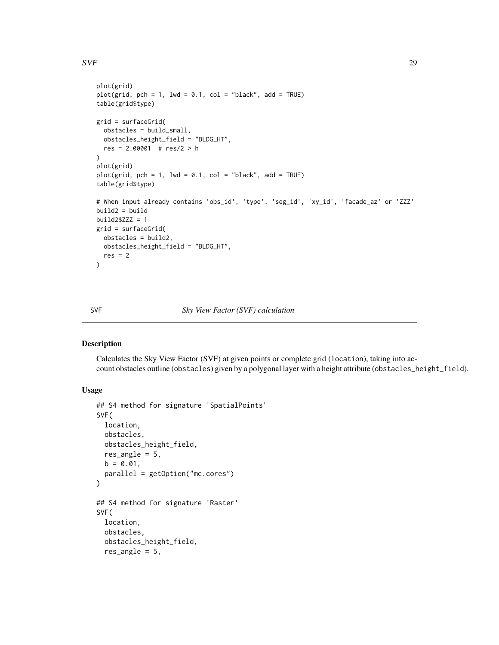# <span id="page-28-0"></span> $SVF$  29

```
plot(grid)
plot(grid, pch = 1, lwd = 0.1, col = "black", add = TRUE)
table(grid$type)
grid = surfaceGrid(
  obstacles = build_small,
  obstacles_height_field = "BLDG_HT",
  res = 2.00001 # res/2 > h
\lambdaplot(grid)
plot(grid, pch = 1, lwd = 0.1, col = "black", add = TRUE)table(grid$type)
# When input already contains 'obs_id', 'type', 'seg_id', 'xy_id', 'facade_az' or 'ZZZ'
build2 = buildbuild2$ZZZ = 1grid = surfaceGrid(
  obstacles = build2,
 obstacles_height_field = "BLDG_HT",
  res = 2)
```
# <span id="page-28-1"></span>SVF *Sky View Factor (SVF) calculation*

# Description

Calculates the Sky View Factor (SVF) at given points or complete grid (location), taking into account obstacles outline (obstacles) given by a polygonal layer with a height attribute (obstacles\_height\_field).

# Usage

```
## S4 method for signature 'SpatialPoints'
SVF(
  location,
  obstacles,
 obstacles_height_field,
  res_angle = 5,
 b = 0.01,
 parallel = getOption("mc.cores")
\mathcal{L}## S4 method for signature 'Raster'
SVF(
  location,
  obstacles,
  obstacles_height_field,
  res_angle = 5,
```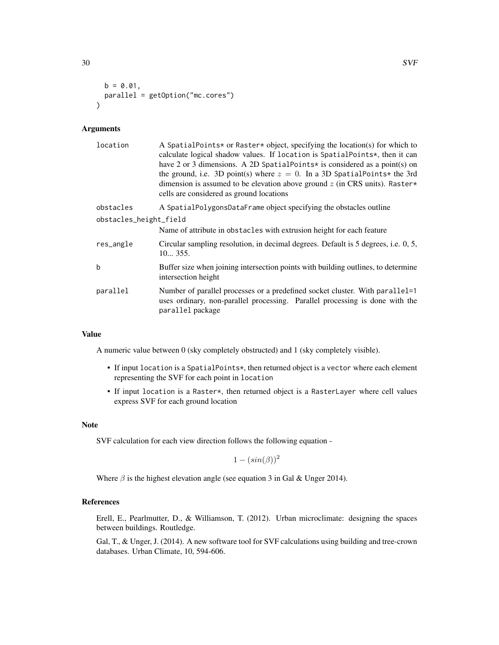```
b = 0.01,
 parallel = getOption("mc.cores")
\lambda
```
# Arguments

| A SpatialPoints* or Raster* object, specifying the location(s) for which to<br>calculate logical shadow values. If location is SpatialPoints*, then it can<br>have 2 or 3 dimensions. A 2D SpatialPoints* is considered as a point(s) on<br>the ground, i.e. 3D point(s) where $z = 0$ . In a 3D SpatialPoints* the 3rd<br>dimension is assumed to be elevation above ground $z$ (in CRS units). Raster*<br>cells are considered as ground locations |
|------------------------------------------------------------------------------------------------------------------------------------------------------------------------------------------------------------------------------------------------------------------------------------------------------------------------------------------------------------------------------------------------------------------------------------------------------|
| A SpatialPolygonsDataFrame object specifying the obstacles outline                                                                                                                                                                                                                                                                                                                                                                                   |
| obstacles_height_field<br>Name of attribute in obstacles with extrusion height for each feature                                                                                                                                                                                                                                                                                                                                                      |
| Circular sampling resolution, in decimal degrees. Default is 5 degrees, i.e. 0, 5,<br>10355.                                                                                                                                                                                                                                                                                                                                                         |
| Buffer size when joining intersection points with building outlines, to determine<br>intersection height                                                                                                                                                                                                                                                                                                                                             |
| Number of parallel processes or a predefined socket cluster. With parallel=1<br>uses ordinary, non-parallel processing. Parallel processing is done with the<br>parallel package                                                                                                                                                                                                                                                                     |
|                                                                                                                                                                                                                                                                                                                                                                                                                                                      |

# Value

A numeric value between 0 (sky completely obstructed) and 1 (sky completely visible).

- If input location is a SpatialPoints\*, then returned object is a vector where each element representing the SVF for each point in location
- If input location is a Raster\*, then returned object is a RasterLayer where cell values express SVF for each ground location

# Note

SVF calculation for each view direction follows the following equation -

 $1 - (sin(\beta))^2$ 

Where  $\beta$  is the highest elevation angle (see equation 3 in Gal & Unger 2014).

# References

Erell, E., Pearlmutter, D., & Williamson, T. (2012). Urban microclimate: designing the spaces between buildings. Routledge.

Gal, T., & Unger, J. (2014). A new software tool for SVF calculations using building and tree-crown databases. Urban Climate, 10, 594-606.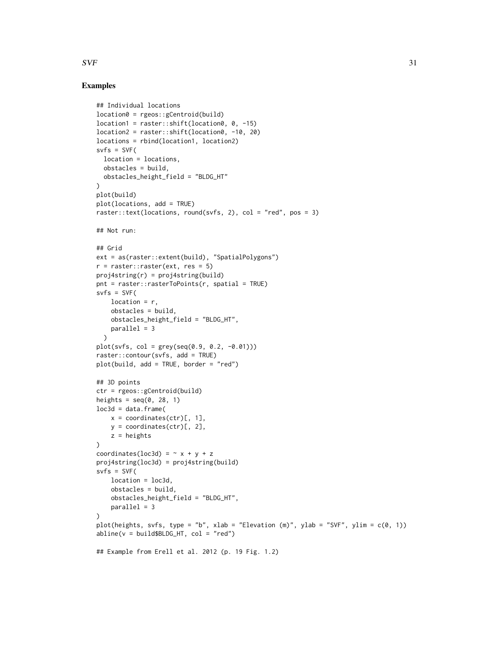# $SVF$  31

```
## Individual locations
location0 = rgeos::gCentroid(build)
location1 = raster::shift(location0, 0, -15)
location2 = raster::shift(location0, -10, 20)
locations = rbind(location1, location2)
s\nu fs = SVF(location = locations,
  obstacles = build,
 obstacles_height_field = "BLDG_HT"
)
plot(build)
plot(locations, add = TRUE)
raster::text(locations, round(svfs, 2), col = "red", pos = 3)
## Not run:
## Grid
ext = as(raster::extent(build), "SpatialPolygons")
r = raster:: raster(ext, res = 5)
proj4string(r) = proj4string(build)
pnt = raster::rasterToPoints(r, spatial = TRUE)
s\nu fs = SVF(location = r,
    obstacles = build,
   obstacles_height_field = "BLDG_HT",
   parallel = 3
  \lambdaplot(svfs, col = grey(seq(0.9, 0.2, -0.01)))
raster::contour(svfs, add = TRUE)
plot(build, add = TRUE, border = "red")
## 3D points
ctr = rgeos::gCentroid(build)
heights = seq(0, 28, 1)loc3d = data.frame(x = coordinates(ctr)[, 1],y = coordinates(ctr)[, 2],
   z = heights
\lambdacoordinates(loc3d) = \sim x + y + zproj4string(loc3d) = proj4string(build)
s\nu fs = SVF(location = loc3d,
   obstacles = build,
   obstacles_height_field = "BLDG_HT",
   parallel = 3
)
plot(heights, svfs, type = "b", xlab = "Elevation (m)", ylab = "SVF", ylim = c(0, 1))
abline(v = build$BLDG_HT, col = "red")## Example from Erell et al. 2012 (p. 19 Fig. 1.2)
```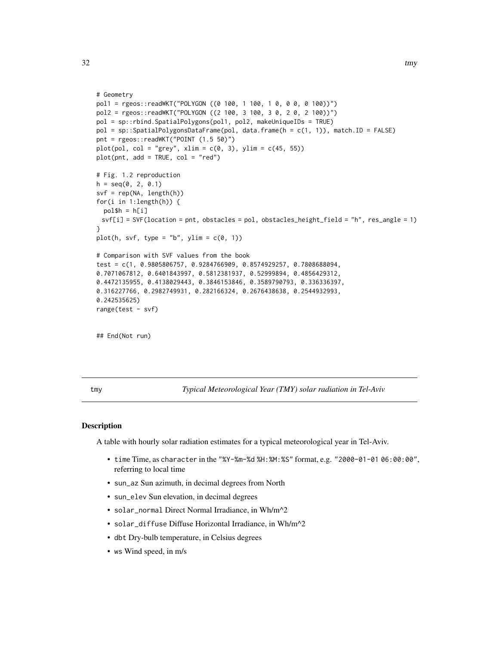```
# Geometry
pol1 = rgeos::readWKT("POLYGON ((0 100, 1 100, 1 0, 0 0, 0 100))")
pol2 = rgeos::readWKT("POLYGON ((2 100, 3 100, 3 0, 2 0, 2 100))")
pol = sp::rbind.SpatialPolygons(pol1, pol2, makeUniqueIDs = TRUE)
pol = sp::SpatialPolygonsDataFrame(pol, data.frame(h = c(1, 1)), match.ID = FALSE)
pnt = rgeos::readWKT("POINT (1.5 50)")
plot(pol, col = "grey", xlim = c(0, 3), ylim = c(45, 55))plot(pnt, add = TRUE, col = "red")# Fig. 1.2 reproduction
h = seq(0, 2, 0.1)svf = rep(NA, length(h))
for(i in 1:length(h)) {
  pol$h = h[i]svf[i] = SVF(location = pnt, obstacles = pol, obstacles_height_field = "h", res_angle = 1)
}
plot(h, svf, type = "b", ylim = c(\emptyset, 1))
# Comparison with SVF values from the book
test = c(1, 0.9805806757, 0.9284766909, 0.8574929257, 0.7808688094,
0.7071067812, 0.6401843997, 0.5812381937, 0.52999894, 0.4856429312,
0.4472135955, 0.4138029443, 0.3846153846, 0.3589790793, 0.336336397,
0.316227766, 0.2982749931, 0.282166324, 0.2676438638, 0.2544932993,
0.242535625)
range(test - svf)
## End(Not run)
```
tmy *Typical Meteorological Year (TMY) solar radiation in Tel-Aviv*

#### Description

A table with hourly solar radiation estimates for a typical meteorological year in Tel-Aviv.

- time Time, as character in the "%Y-%m-%d %H:%M:%S" format, e.g. "2000-01-01 06:00:00", referring to local time
- sun\_az Sun azimuth, in decimal degrees from North
- sun\_elev Sun elevation, in decimal degrees
- solar\_normal Direct Normal Irradiance, in Wh/m^2
- solar\_diffuse Diffuse Horizontal Irradiance, in Wh/m^2
- dbt Dry-bulb temperature, in Celsius degrees
- ws Wind speed, in m/s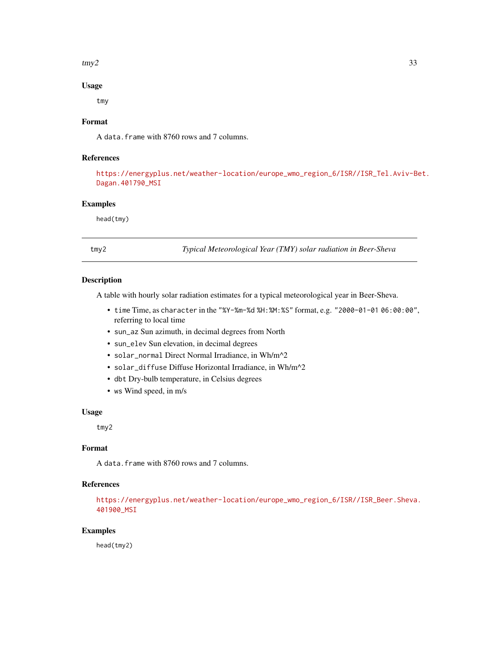#### <span id="page-32-0"></span> $\text{tmp2}$  33

# Usage

tmy

# Format

A data.frame with 8760 rows and 7 columns.

# References

[https://energyplus.net/weather-location/europe\\_wmo\\_region\\_6/ISR//ISR\\_Tel.Aviv-Be](https://energyplus.net/weather-location/europe_wmo_region_6/ISR//ISR_Tel.Aviv-Bet.Dagan.401790_MSI)t. [Dagan.401790\\_MSI](https://energyplus.net/weather-location/europe_wmo_region_6/ISR//ISR_Tel.Aviv-Bet.Dagan.401790_MSI)

# Examples

head(tmy)

tmy2 *Typical Meteorological Year (TMY) solar radiation in Beer-Sheva*

# Description

A table with hourly solar radiation estimates for a typical meteorological year in Beer-Sheva.

- time Time, as character in the "%Y-%m-%d %H:%M:%S" format, e.g. "2000-01-01 06:00:00", referring to local time
- sun\_az Sun azimuth, in decimal degrees from North
- sun\_elev Sun elevation, in decimal degrees
- solar\_normal Direct Normal Irradiance, in Wh/m^2
- solar\_diffuse Diffuse Horizontal Irradiance, in Wh/m^2
- dbt Dry-bulb temperature, in Celsius degrees
- ws Wind speed, in m/s

# Usage

tmy2

# Format

A data.frame with 8760 rows and 7 columns.

# References

```
https://energyplus.net/weather-location/europe_wmo_region_6/ISR//ISR_Beer.Sheva.
401900_MSI
```
# Examples

head(tmy2)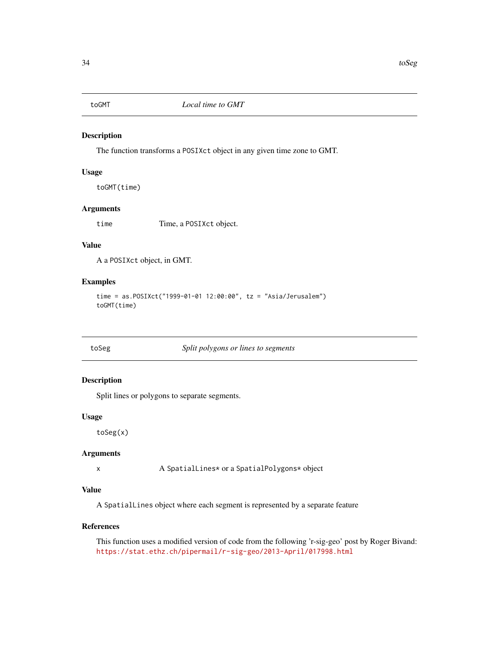<span id="page-33-0"></span>

The function transforms a POSIXct object in any given time zone to GMT.

#### Usage

toGMT(time)

# Arguments

time Time, a POSIXct object.

#### Value

A a POSIXct object, in GMT.

# Examples

```
time = as.POSIXct("1999-01-01 12:00:00", tz = "Asia/Jerusalem")
toGMT(time)
```
# toSeg *Split polygons or lines to segments*

# Description

Split lines or polygons to separate segments.

# Usage

toSeg(x)

# Arguments

x A SpatialLines\* or a SpatialPolygons\* object

# Value

A SpatialLines object where each segment is represented by a separate feature

#### References

This function uses a modified version of code from the following 'r-sig-geo' post by Roger Bivand: <https://stat.ethz.ch/pipermail/r-sig-geo/2013-April/017998.html>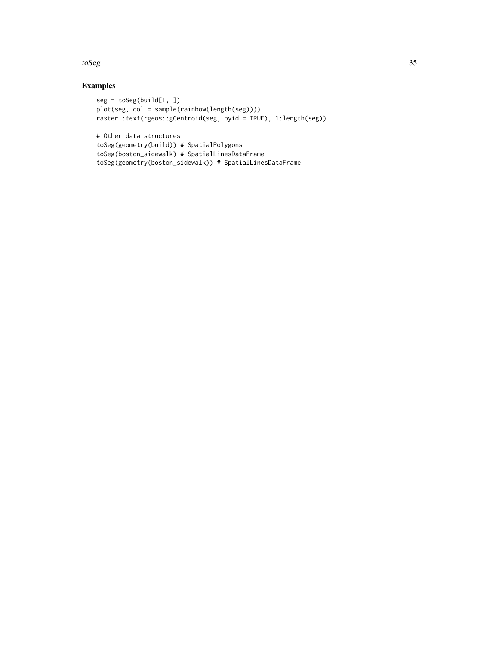toSeg 35

```
seg = toSeg(buid[1, ])plot(seg, col = sample(rainbow(length(seg))))
raster::text(rgeos::gCentroid(seg, byid = TRUE), 1:length(seg))
# Other data structures
toSeg(geometry(build)) # SpatialPolygons
toSeg(boston_sidewalk) # SpatialLinesDataFrame
toSeg(geometry(boston_sidewalk)) # SpatialLinesDataFrame
```